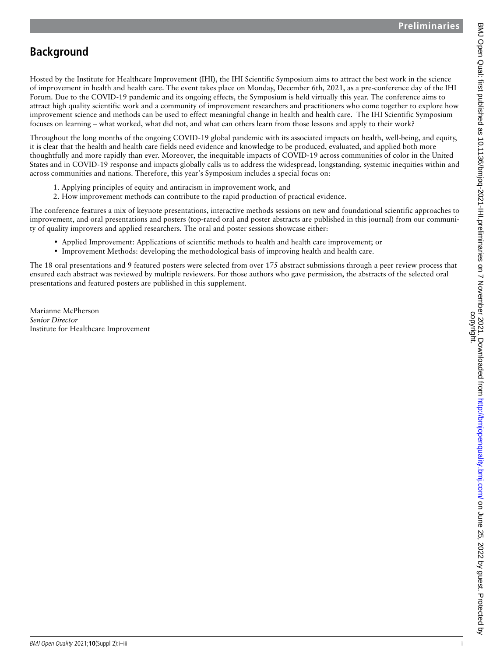## **Background**

Hosted by the Institute for Healthcare Improvement (IHI), the IHI Scientific Symposium aims to attract the best work in the science of improvement in health and health care. The event takes place on Monday, December 6th, 2021, as a pre-conference day of the IHI Forum. Due to the COVID-19 pandemic and its ongoing effects, the Symposium is held virtually this year. The conference aims to attract high quality scientific work and a community of improvement researchers and practitioners who come together to explore how improvement science and methods can be used to effect meaningful change in health and health care. The IHI Scientific Symposium focuses on learning – what worked, what did not, and what can others learn from those lessons and apply to their work?

Throughout the long months of the ongoing COVID-19 global pandemic with its associated impacts on health, well-being, and equity, it is clear that the health and health care fields need evidence and knowledge to be produced, evaluated, and applied both more thoughtfully and more rapidly than ever. Moreover, the inequitable impacts of COVID-19 across communities of color in the United States and in COVID-19 response and impacts globally calls us to address the widespread, longstanding, systemic inequities within and across communities and nations. Therefore, this year's Symposium includes a special focus on:

- 1. Applying principles of equity and antiracism in improvement work, and
- 2. How improvement methods can contribute to the rapid production of practical evidence.

The conference features a mix of keynote presentations, interactive methods sessions on new and foundational scientific approaches to improvement, and oral presentations and posters (top-rated oral and poster abstracts are published in this journal) from our community of quality improvers and applied researchers. The oral and poster sessions showcase either:

- • Applied Improvement: Applications of scientific methods to health and health care improvement; or
- • Improvement Methods: developing the methodological basis of improving health and health care.

The 18 oral presentations and 9 featured posters were selected from over 175 abstract submissions through a peer review process that ensured each abstract was reviewed by multiple reviewers. For those authors who gave permission, the abstracts of the selected oral presentations and featured posters are published in this supplement.

Marianne McPherson *Senior Director* Institute for Healthcare Improvement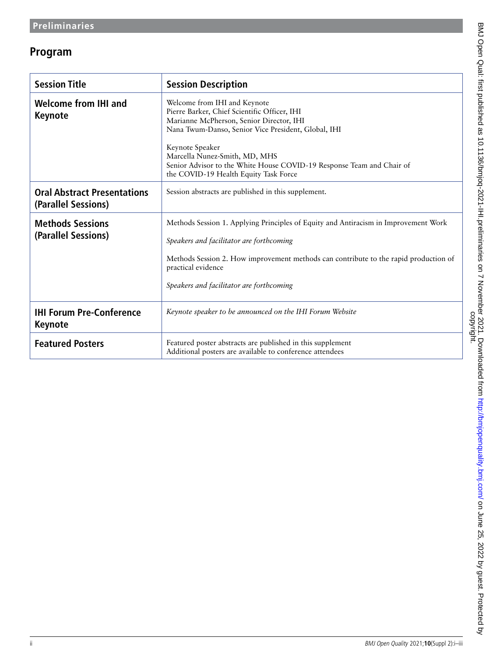## **Program**

| <b>Session Title</b>                                      | <b>Session Description</b>                                                                                                                                                                                                                                                                                                                            |
|-----------------------------------------------------------|-------------------------------------------------------------------------------------------------------------------------------------------------------------------------------------------------------------------------------------------------------------------------------------------------------------------------------------------------------|
| <b>Welcome from IHI and</b><br><b>Keynote</b>             | Welcome from IHI and Keynote<br>Pierre Barker, Chief Scientific Officer, IHI<br>Marianne McPherson, Senior Director, IHI<br>Nana Twum-Danso, Senior Vice President, Global, IHI<br>Keynote Speaker<br>Marcella Nunez-Smith, MD, MHS<br>Senior Advisor to the White House COVID-19 Response Team and Chair of<br>the COVID-19 Health Equity Task Force |
| <b>Oral Abstract Presentations</b><br>(Parallel Sessions) | Session abstracts are published in this supplement.                                                                                                                                                                                                                                                                                                   |
| <b>Methods Sessions</b><br>(Parallel Sessions)            | Methods Session 1. Applying Principles of Equity and Antiracism in Improvement Work<br>Speakers and facilitator are forthcoming<br>Methods Session 2. How improvement methods can contribute to the rapid production of<br>practical evidence<br>Speakers and facilitator are forthcoming                                                             |
| <b>IHI Forum Pre-Conference</b><br><b>Keynote</b>         | Keynote speaker to be announced on the IHI Forum Website                                                                                                                                                                                                                                                                                              |
| <b>Featured Posters</b>                                   | Featured poster abstracts are published in this supplement<br>Additional posters are available to conference attendees                                                                                                                                                                                                                                |